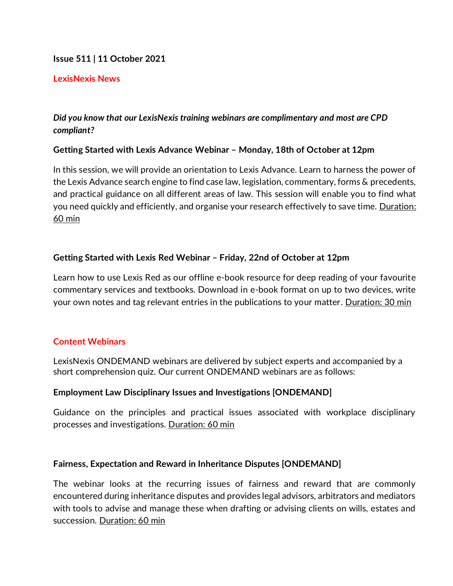## **Issue 511 | 11 October 2021**

## **LexisNexis News**

# *Did you know that our LexisNexis training webinars are complimentary and most are CPD compliant?*

## **Getting Started with Lexis Advance Webinar – Monday, 18th of October at 12pm**

In this session, we will provide an orientation to Lexis Advance. Learn to harness the power of the Lexis Advance search engine to find case law, legislation, commentary, forms & precedents, and practical guidance on all different areas of law. This session will enable you to find what you need quickly and efficiently, and organise your research effectively to save time. Duration: 60 min

## **Getting Started with Lexis Red Webinar – Friday, 22nd of October at 12pm**

Learn how to use Lexis Red as our offline e-book resource for deep reading of your favourite commentary services and textbooks. Download in e-book format on up to two devices, write your own notes and tag relevant entries in the publications to your matter. Duration: 30 min

## **Content Webinars**

LexisNexis ONDEMAND webinars are delivered by subject experts and accompanied by a short comprehension quiz. Our current ONDEMAND webinars are as follows:

## **Employment Law Disciplinary Issues and Investigations [ONDEMAND]**

Guidance on the principles and practical issues associated with workplace disciplinary processes and investigations. Duration: 60 min

## **Fairness, Expectation and Reward in Inheritance Disputes [ONDEMAND]**

The webinar looks at the recurring issues of fairness and reward that are commonly encountered during inheritance disputes and provides legal advisors, arbitrators and mediators with tools to advise and manage these when drafting or advising clients on wills, estates and succession. Duration: 60 min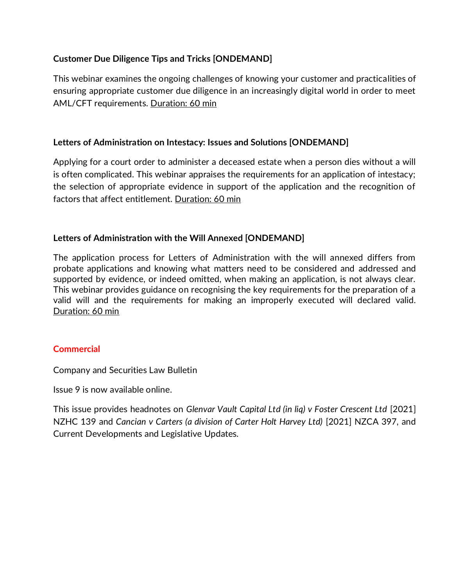# **Customer Due Diligence Tips and Tricks [ONDEMAND]**

This webinar examines the ongoing challenges of knowing your customer and practicalities of ensuring appropriate customer due diligence in an increasingly digital world in order to meet AML/CFT requirements. Duration: 60 min

# **Letters of Administration on Intestacy: Issues and Solutions [ONDEMAND]**

Applying for a court order to administer a deceased estate when a person dies without a will is often complicated. This webinar appraises the requirements for an application of intestacy; the selection of appropriate evidence in support of the application and the recognition of factors that affect entitlement. Duration: 60 min

## **Letters of Administration with the Will Annexed [ONDEMAND]**

The application process for Letters of Administration with the will annexed differs from probate applications and knowing what matters need to be considered and addressed and supported by evidence, or indeed omitted, when making an application, is not always clear. This webinar provides guidance on recognising the key requirements for the preparation of a valid will and the requirements for making an improperly executed will declared valid. Duration: 60 min

## **Commercial**

Company and Securities Law Bulletin

Issue 9 is now available online.

This issue provides headnotes on *Glenvar Vault Capital Ltd (in liq) v Foster Crescent Ltd* [2021] NZHC 139 and *Cancian v Carters (a division of Carter Holt Harvey Ltd)* [2021] NZCA 397, and Current Developments and Legislative Updates.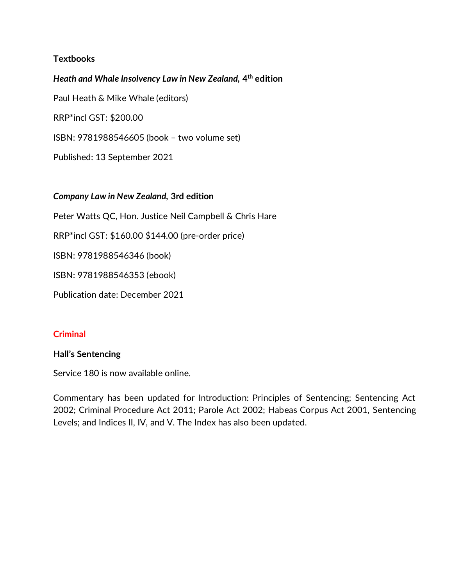## **Textbooks**

*Heath and Whale Insolvency Law in New Zealand,* **4 th edition** Paul Heath & Mike Whale (editors) RRP\*incl GST: \$200.00 ISBN: 9781988546605 (book – two volume set) Published: 13 September 2021

## *Company Law in New Zealand,* **3rd edition**

Peter Watts QC, Hon. Justice Neil Campbell & Chris Hare

RRP\*incl GST: \$160.00 \$144.00 (pre-order price)

ISBN: 9781988546346 (book)

ISBN: 9781988546353 (ebook)

Publication date: December 2021

## **Criminal**

## **Hall's Sentencing**

Service 180 is now available online.

Commentary has been updated for Introduction: Principles of Sentencing; Sentencing Act 2002; Criminal Procedure Act 2011; Parole Act 2002; Habeas Corpus Act 2001, Sentencing Levels; and Indices II, IV, and V. The Index has also been updated.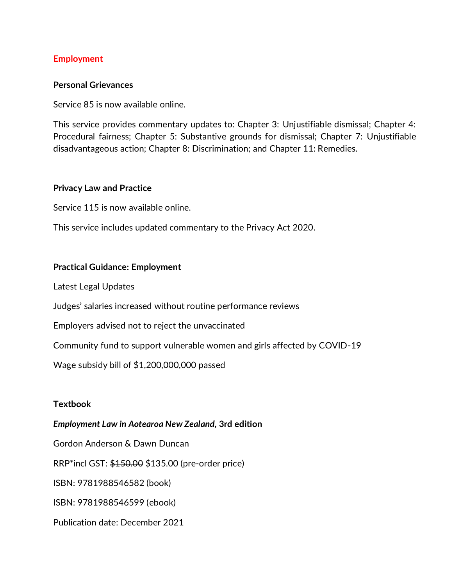## **Employment**

#### **Personal Grievances**

Service 85 is now available online.

This service provides commentary updates to: Chapter 3: Unjustifiable dismissal; Chapter 4: Procedural fairness; Chapter 5: Substantive grounds for dismissal; Chapter 7: Unjustifiable disadvantageous action; Chapter 8: Discrimination; and Chapter 11: Remedies.

#### **Privacy Law and Practice**

Service 115 is now available online.

This service includes updated commentary to the Privacy Act 2020.

## **Practical Guidance: Employment**

Latest Legal Updates

Judges' salaries increased without routine performance reviews

Employers advised not to reject the unvaccinated

Community fund to support vulnerable women and girls affected by COVID-19

Wage subsidy bill of \$1,200,000,000 passed

## **Textbook**

## *Employment Law in Aotearoa New Zealand,* **3rd edition**

Gordon Anderson & Dawn Duncan

RRP\*incl GST: \$150.00 \$135.00 (pre-order price)

ISBN: 9781988546582 (book)

ISBN: 9781988546599 (ebook)

Publication date: December 2021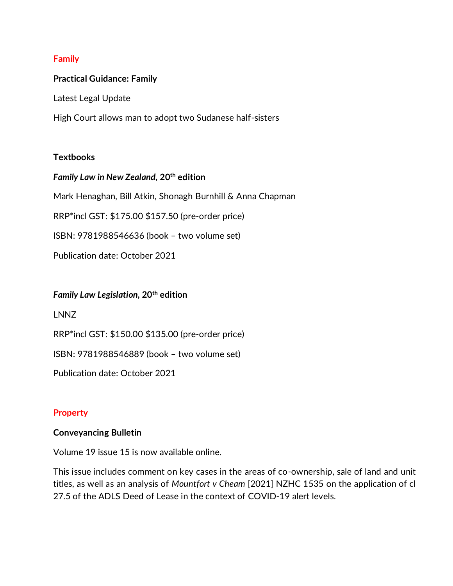## **Family**

## **Practical Guidance: Family**

Latest Legal Update

High Court allows man to adopt two Sudanese half-sisters

## **Textbooks**

## *Family Law in New Zealand,* **20th edition**

Mark Henaghan, Bill Atkin, Shonagh Burnhill & Anna Chapman

RRP\*incl GST: \$175.00 \$157.50 (pre-order price)

ISBN: 9781988546636 (book – two volume set)

Publication date: October 2021

#### *Family Law Legislation,* **20th edition**

LNNZ

RRP\*incl GST: \$150.00 \$135.00 (pre-order price)

ISBN: 9781988546889 (book – two volume set)

Publication date: October 2021

## **Property**

## **Conveyancing Bulletin**

Volume 19 issue 15 is now available online.

This issue includes comment on key cases in the areas of co-ownership, sale of land and unit titles, as well as an analysis of *Mountfort v Cheam* [2021] NZHC 1535 on the application of cl 27.5 of the ADLS Deed of Lease in the context of COVID-19 alert levels.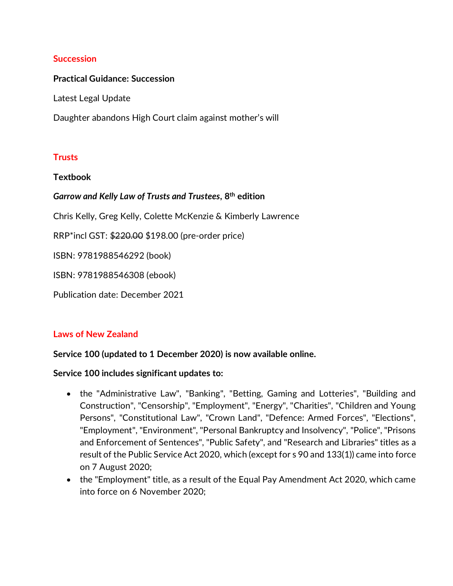## **Succession**

## **Practical Guidance: Succession**

Latest Legal Update

Daughter abandons High Court claim against mother's will

## **Trusts**

#### **Textbook**

# *Garrow and Kelly Law of Trusts and Trustees***, 8th edition**

Chris Kelly, Greg Kelly, Colette McKenzie & Kimberly Lawrence

RRP\*incl GST: \$220.00 \$198.00 (pre-order price)

ISBN: 9781988546292 (book)

ISBN: 9781988546308 (ebook)

Publication date: December 2021

## **Laws of New Zealand**

## **Service 100 (updated to 1 December 2020) is now available online.**

## **Service 100 includes significant updates to:**

- the "Administrative Law", "Banking", "Betting, Gaming and Lotteries", "Building and Construction", "Censorship", "Employment", "Energy", "Charities", "Children and Young Persons", "Constitutional Law", "Crown Land", "Defence: Armed Forces", "Elections", "Employment", "Environment", "Personal Bankruptcy and Insolvency", "Police", "Prisons and Enforcement of Sentences", "Public Safety", and "Research and Libraries" titles as a result of the Public Service Act 2020, which (except for s 90 and 133(1)) came into force on 7 August 2020;
- the "Employment" title, as a result of the Equal Pay Amendment Act 2020, which came into force on 6 November 2020;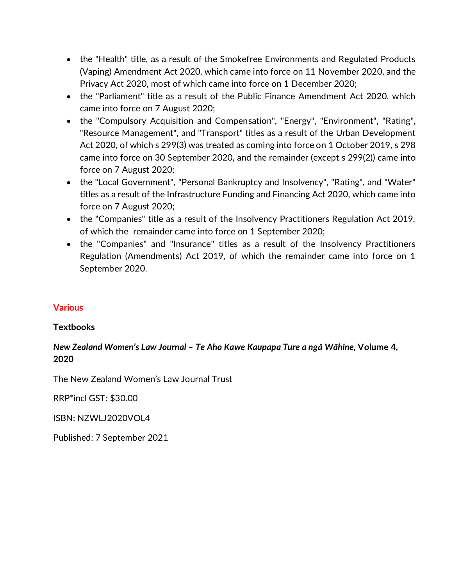- the "Health" title, as a result of the Smokefree Environments and Regulated Products (Vaping) Amendment Act 2020, which came into force on 11 November 2020, and the Privacy Act 2020, most of which came into force on 1 December 2020;
- the "Parliament" title as a result of the Public Finance Amendment Act 2020, which came into force on 7 August 2020;
- the "Compulsory Acquisition and Compensation", "Energy", "Environment", "Rating", "Resource Management", and "Transport" titles as a result of the Urban Development Act 2020, of which s 299(3) was treated as coming into force on 1 October 2019, s 298 came into force on 30 September 2020, and the remainder (except s 299(2)) came into force on 7 August 2020;
- the "Local Government", "Personal Bankruptcy and Insolvency", "Rating", and "Water" titles as a result of the Infrastructure Funding and Financing Act 2020, which came into force on 7 August 2020;
- the "Companies" title as a result of the Insolvency Practitioners Regulation Act 2019, of which the remainder came into force on 1 September 2020;
- the "Companies" and "Insurance" titles as a result of the Insolvency Practitioners Regulation (Amendments) Act 2019, of which the remainder came into force on 1 September 2020.

## **Various**

## **Textbooks**

# *New Zealand Women's Law Journal – Te Aho Kawe Kaupapa Ture a ngā Wāhine,* **Volume 4, 2020**

The New Zealand Women's Law Journal Trust

RRP\*incl GST: \$30.00

ISBN: NZWLJ2020VOL4

Published: 7 September 2021